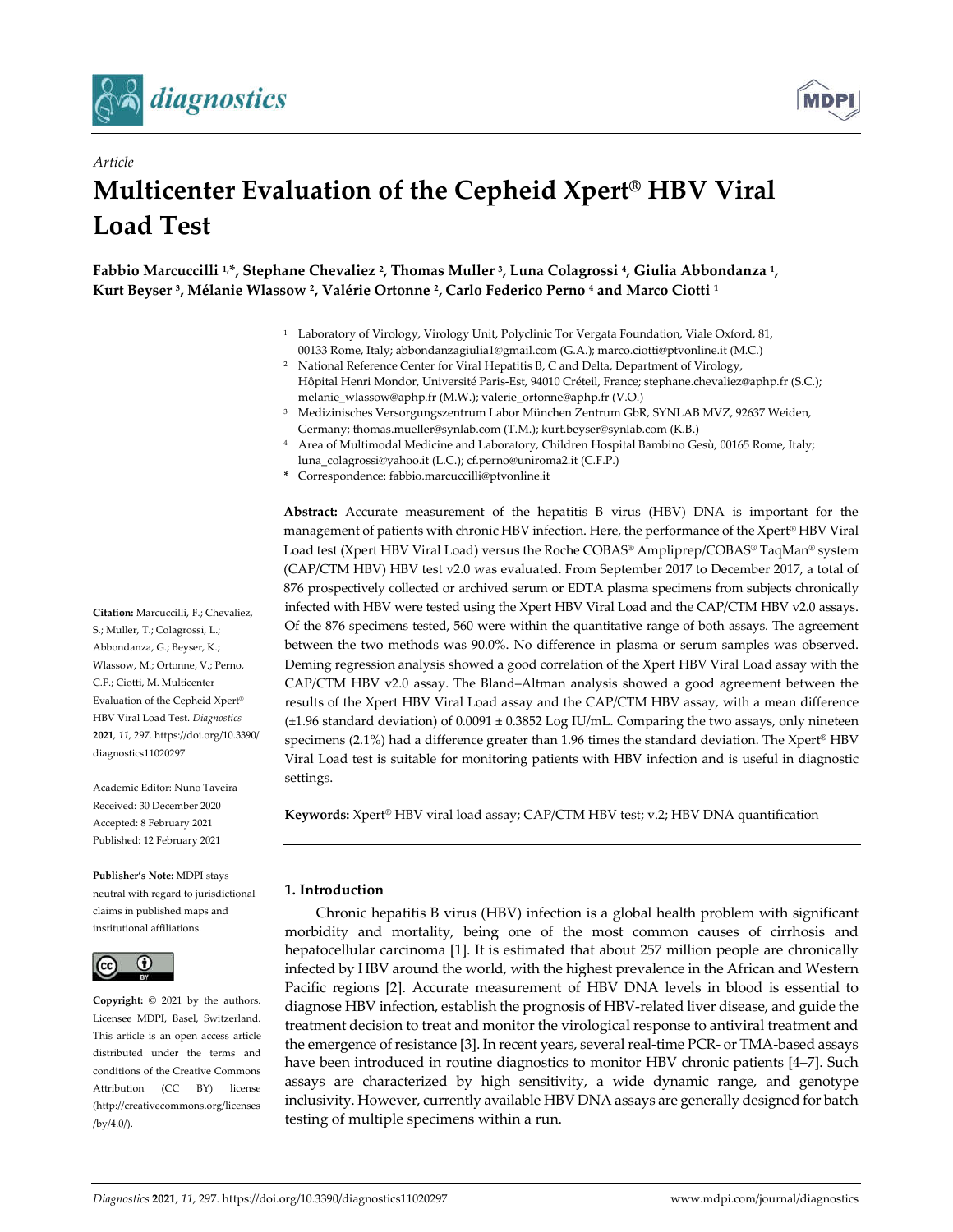



# *Article* **Multicenter Evaluation of the Cepheid Xpert® HBV Viral Load Test**

**Fabbio Marcuccilli 1, \*, Stephane Chevaliez 2, Thomas Muller 3, Luna Colagrossi 4, Giulia Abbondanza 1, Kurt Beyser 3, Mélanie Wlassow 2, Valérie Ortonne 2, Carlo Federico Perno 4 and Marco Ciotti 1**

- <sup>1</sup> Laboratory of Virology, Virology Unit, Polyclinic Tor Vergata Foundation, Viale Oxford, 81, 00133 Rome, Italy; abbondanzagiulia1@gmail.com (G.A.); marco.ciotti@ptvonline.it (M.C.)
- <sup>2</sup> National Reference Center for Viral Hepatitis B, C and Delta, Department of Virology, Hôpital Henri Mondor, Université Paris-Est, 94010 Créteil, France; stephane.chevaliez@aphp.fr (S.C.); melanie\_wlassow@aphp.fr (M.W.); valerie\_ortonne@aphp.fr (V.O.)
- <sup>3</sup> Medizinisches Versorgungszentrum Labor München Zentrum GbR, SYNLAB MVZ, 92637 Weiden, Germany; thomas.mueller@synlab.com (T.M.); kurt.beyser@synlab.com (K.B.)
- <sup>4</sup> Area of Multimodal Medicine and Laboratory, Children Hospital Bambino Gesù, 00165 Rome, Italy; luna\_colagrossi@yahoo.it (L.C.); cf.perno@uniroma2.it (C.F.P.)
- **\*** Correspondence: fabbio.marcuccilli@ptvonline.it

**Abstract:** Accurate measurement of the hepatitis B virus (HBV) DNA is important for the management of patients with chronic HBV infection. Here, the performance of the Xpert® HBV Viral Load test (Xpert HBV Viral Load) versus the Roche COBAS® Ampliprep/COBAS® TaqMan® system (CAP/CTM HBV) HBV test v2.0 was evaluated. From September 2017 to December 2017, a total of 876 prospectively collected or archived serum or EDTA plasma specimens from subjects chronically infected with HBV were tested using the Xpert HBV Viral Load and the CAP/CTM HBV v2.0 assays. Of the 876 specimens tested, 560 were within the quantitative range of both assays. The agreement between the two methods was 90.0%. No difference in plasma or serum samples was observed. Deming regression analysis showed a good correlation of the Xpert HBV Viral Load assay with the CAP/CTM HBV v2.0 assay. The Bland–Altman analysis showed a good agreement between the results of the Xpert HBV Viral Load assay and the CAP/CTM HBV assay, with a mean difference  $(\pm 1.96$  standard deviation) of  $0.0091 \pm 0.3852$  Log IU/mL. Comparing the two assays, only nineteen specimens (2.1%) had a difference greater than 1.96 times the standard deviation. The Xpert® HBV Viral Load test is suitable for monitoring patients with HBV infection and is useful in diagnostic settings.

**Keywords:** Xpert® HBV viral load assay; CAP/CTM HBV test; v.2; HBV DNA quantification

## **1. Introduction**

Chronic hepatitis B virus (HBV) infection is a global health problem with significant morbidity and mortality, being one of the most common causes of cirrhosis and hepatocellular carcinoma [1]. It is estimated that about 257 million people are chronically infected by HBV around the world, with the highest prevalence in the African and Western Pacific regions [2]. Accurate measurement of HBV DNA levels in blood is essential to diagnose HBV infection, establish the prognosis of HBV-related liver disease, and guide the treatment decision to treat and monitor the virological response to antiviral treatment and the emergence of resistance [3]. In recent years, several real-time PCR- or TMA-based assays have been introduced in routine diagnostics to monitor HBV chronic patients [4–7]. Such assays are characterized by high sensitivity, a wide dynamic range, and genotype inclusivity. However, currently available HBV DNA assays are generally designed for batch testing of multiple specimens within a run.

**Citation:** Marcuccilli, F.; Chevaliez, S.; Muller, T.; Colagrossi, L.; Abbondanza, G.; Beyser, K.; Wlassow, M.; Ortonne, V.; Perno, C.F.; Ciotti, M. Multicenter Evaluation of the Cepheid Xpert® HBV Viral Load Test. *Diagnostics*  **2021**, *11*, 297. https://doi.org/10.3390/ diagnostics11020297

Academic Editor: Nuno Taveira Received: 30 December 2020 Accepted: 8 February 2021 Published: 12 February 2021

**Publisher's Note:** MDPI stays neutral with regard to jurisdictional claims in published maps and institutional affiliations.



**Copyright:** © 2021 by the authors. Licensee MDPI, Basel, Switzerland. This article is an open access article distributed under the terms and conditions of the Creative Commons Attribution (CC BY) license (http://creativecommons.org/licenses /by/4.0/).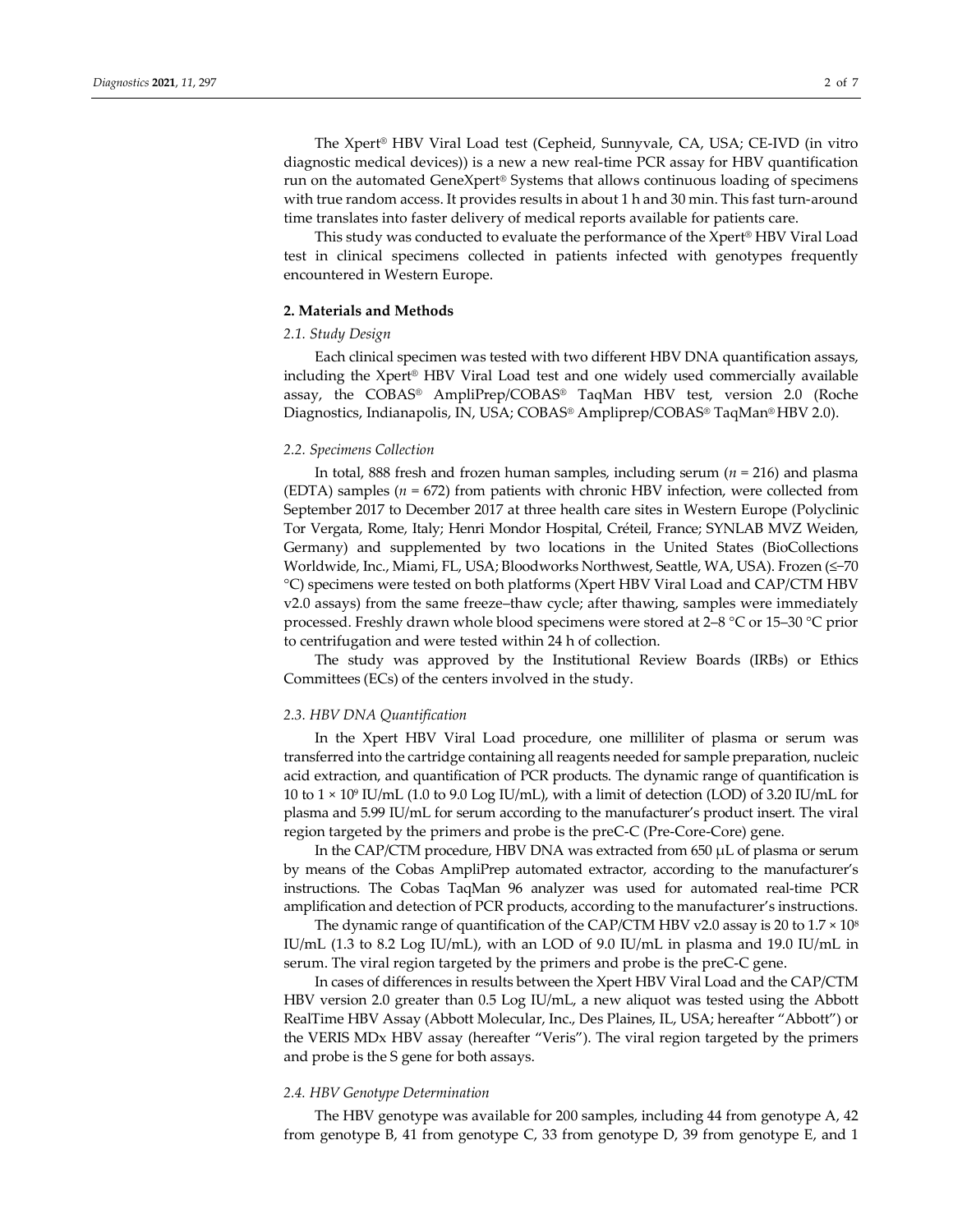The Xpert® HBV Viral Load test (Cepheid, Sunnyvale, CA, USA; CE-IVD (in vitro diagnostic medical devices)) is a new a new real-time PCR assay for HBV quantification run on the automated GeneXpert® Systems that allows continuous loading of specimens with true random access. It provides results in about 1 h and 30 min. This fast turn-around time translates into faster delivery of medical reports available for patients care.

This study was conducted to evaluate the performance of the Xpert® HBV Viral Load test in clinical specimens collected in patients infected with genotypes frequently encountered in Western Europe.

## **2. Materials and Methods**

## *2.1. Study Design*

Each clinical specimen was tested with two different HBV DNA quantification assays, including the Xpert® HBV Viral Load test and one widely used commercially available assay, the COBAS® AmpliPrep/COBAS® TaqMan HBV test, version 2.0 (Roche Diagnostics, Indianapolis, IN, USA; COBAS® Ampliprep/COBAS® TaqMan® HBV 2.0).

#### *2.2. Specimens Collection*

In total, 888 fresh and frozen human samples, including serum (*n* = 216) and plasma (EDTA) samples ( $n = 672$ ) from patients with chronic HBV infection, were collected from September 2017 to December 2017 at three health care sites in Western Europe (Polyclinic Tor Vergata, Rome, Italy; Henri Mondor Hospital, Créteil, France; SYNLAB MVZ Weiden, Germany) and supplemented by two locations in the United States (BioCollections Worldwide, Inc., Miami, FL, USA; Bloodworks Northwest, Seattle, WA, USA). Frozen (≤−70 °C) specimens were tested on both platforms (Xpert HBV Viral Load and CAP/CTM HBV v2.0 assays) from the same freeze–thaw cycle; after thawing, samples were immediately processed. Freshly drawn whole blood specimens were stored at 2–8 °C or 15–30 °C prior to centrifugation and were tested within 24 h of collection.

The study was approved by the Institutional Review Boards (IRBs) or Ethics Committees (ECs) of the centers involved in the study.

## *2.3. HBV DNA Quantification*

In the Xpert HBV Viral Load procedure, one milliliter of plasma or serum was transferred into the cartridge containing all reagents needed for sample preparation, nucleic acid extraction, and quantification of PCR products. The dynamic range of quantification is 10 to  $1 \times 10^9$  IU/mL (1.0 to 9.0 Log IU/mL), with a limit of detection (LOD) of 3.20 IU/mL for plasma and 5.99 IU/mL for serum according to the manufacturer's product insert. The viral region targeted by the primers and probe is the preC-C (Pre-Core-Core) gene.

In the CAP/CTM procedure, HBV DNA was extracted from 650 µL of plasma or serum by means of the Cobas AmpliPrep automated extractor, according to the manufacturer's instructions. The Cobas TaqMan 96 analyzer was used for automated real-time PCR amplification and detection of PCR products, according to the manufacturer's instructions.

The dynamic range of quantification of the CAP/CTM HBV v2.0 assay is 20 to  $1.7 \times 10^8$ IU/mL (1.3 to 8.2 Log IU/mL), with an LOD of 9.0 IU/mL in plasma and 19.0 IU/mL in serum. The viral region targeted by the primers and probe is the preC-C gene.

In cases of differences in results between the Xpert HBV Viral Load and the CAP/CTM HBV version 2.0 greater than 0.5 Log IU/mL, a new aliquot was tested using the Abbott RealTime HBV Assay (Abbott Molecular, Inc., Des Plaines, IL, USA; hereafter "Abbott") or the VERIS MDx HBV assay (hereafter "Veris"). The viral region targeted by the primers and probe is the S gene for both assays.

## *2.4. HBV Genotype Determination*

The HBV genotype was available for 200 samples, including 44 from genotype A, 42 from genotype B, 41 from genotype C, 33 from genotype D, 39 from genotype E, and 1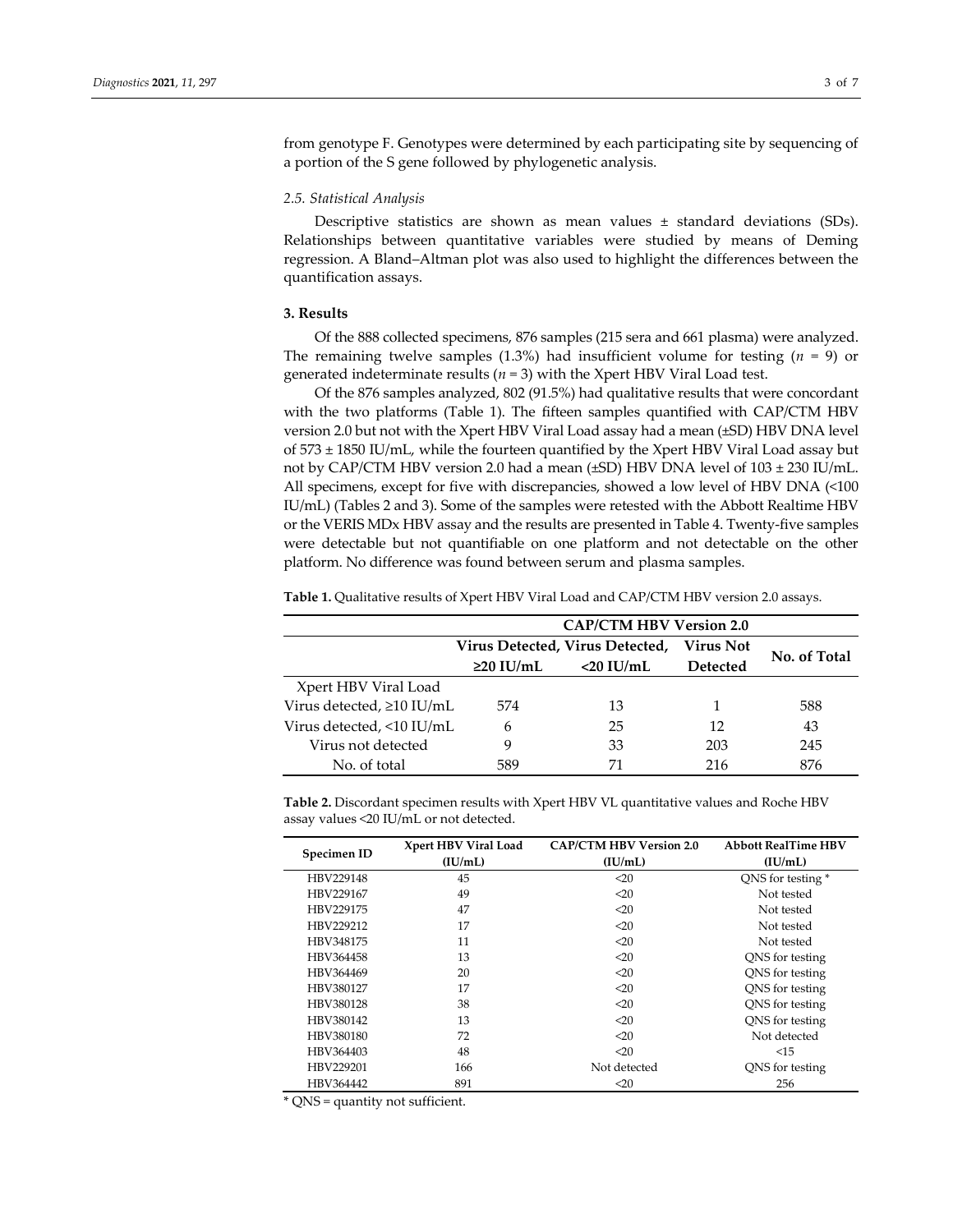from genotype F. Genotypes were determined by each participating site by sequencing of a portion of the S gene followed by phylogenetic analysis.

## *2.5. Statistical Analysis*

Descriptive statistics are shown as mean values  $\pm$  standard deviations (SDs). Relationships between quantitative variables were studied by means of Deming regression. A Bland–Altman plot was also used to highlight the differences between the quantification assays.

## **3. Results**

Of the 888 collected specimens, 876 samples (215 sera and 661 plasma) were analyzed. The remaining twelve samples (1.3%) had insufficient volume for testing (*n* = 9) or generated indeterminate results ( $n = 3$ ) with the Xpert HBV Viral Load test.

Of the 876 samples analyzed, 802 (91.5%) had qualitative results that were concordant with the two platforms (Table 1). The fifteen samples quantified with CAP/CTM HBV version 2.0 but not with the Xpert HBV Viral Load assay had a mean (±SD) HBV DNA level of 573 ± 1850 IU/mL, while the fourteen quantified by the Xpert HBV Viral Load assay but not by CAP/CTM HBV version 2.0 had a mean ( $\pm$ SD) HBV DNA level of 103  $\pm$  230 IU/mL. All specimens, except for five with discrepancies, showed a low level of HBV DNA (<100 IU/mL) (Tables 2 and 3). Some of the samples were retested with the Abbott Realtime HBV or the VERIS MDx HBV assay and the results are presented in Table 4. Twenty-five samples were detectable but not quantifiable on one platform and not detectable on the other platform. No difference was found between serum and plasma samples.

**Table 1.** Qualitative results of Xpert HBV Viral Load and CAP/CTM HBV version 2.0 assays.

|                           | <b>CAP/CTM HBV Version 2.0</b>  |              |                 |              |
|---------------------------|---------------------------------|--------------|-----------------|--------------|
|                           | Virus Detected, Virus Detected, |              | Virus Not       | No. of Total |
|                           | $\geq$ 20 IU/mL                 | $<$ 20 IU/mL | <b>Detected</b> |              |
| Xpert HBV Viral Load      |                                 |              |                 |              |
| Virus detected, ≥10 IU/mL | 574                             | 13           |                 | 588          |
| Virus detected, <10 IU/mL | 6                               | 25           | 12              | 43           |
| Virus not detected        |                                 | 33           | 203             | 245          |
| No. of total              | 589                             | 71           | 216             | 876          |

**Table 2.** Discordant specimen results with Xpert HBV VL quantitative values and Roche HBV assay values <20 IU/mL or not detected.

| Specimen ID | Xpert HBV Viral Load | <b>CAP/CTM HBV Version 2.0</b> | <b>Abbott RealTime HBV</b> |
|-------------|----------------------|--------------------------------|----------------------------|
|             | (IU/mL)              | (IU/mL)                        | (IU/mL)                    |
| HBV229148   | 45                   | $20$                           | QNS for testing *          |
| HBV229167   | 49                   | $20$                           | Not tested                 |
| HBV229175   | 47                   | $20$                           | Not tested                 |
| HBV229212   | 17                   | $20$                           | Not tested                 |
| HBV348175   | 11                   | $20$                           | Not tested                 |
| HBV364458   | 13                   | $20$                           | QNS for testing            |
| HBV364469   | 20                   | $20$                           | QNS for testing            |
| HBV380127   | 17                   | $20$                           | ONS for testing            |
| HBV380128   | 38                   | $20$                           | QNS for testing            |
| HBV380142   | 13                   | $20$                           | QNS for testing            |
| HBV380180   | 72                   | <20                            | Not detected               |
| HBV364403   | 48                   | $20$                           | <15                        |
| HBV229201   | 166                  | Not detected                   | QNS for testing            |
| HBV364442   | 891                  | $20$                           | 256                        |

\* QNS = quantity not sufficient.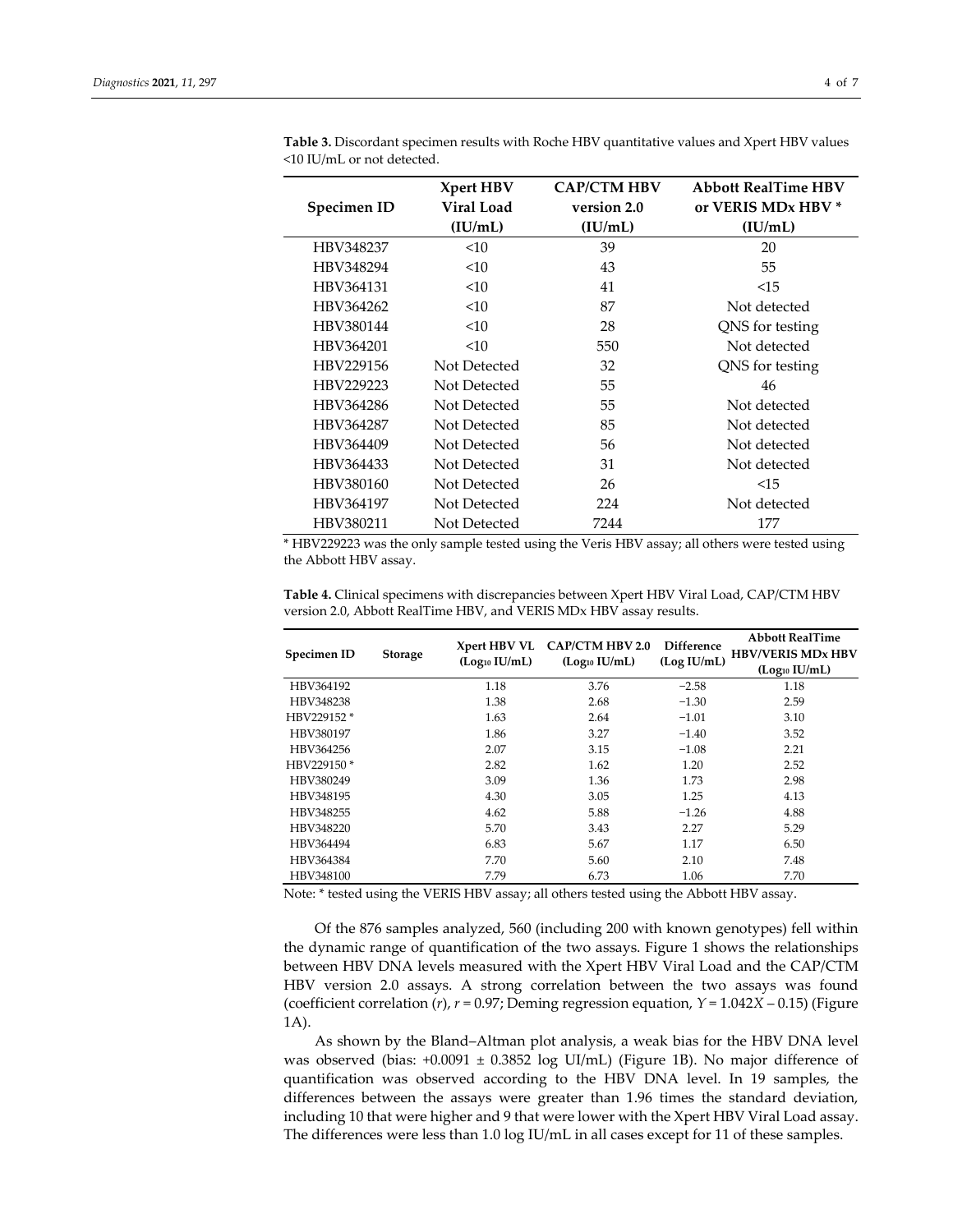|                    | Xpert HBV         | <b>CAP/CTM HBV</b> | <b>Abbott RealTime HBV</b> |
|--------------------|-------------------|--------------------|----------------------------|
| <b>Specimen ID</b> | <b>Viral Load</b> | version 2.0        | or VERIS MDx HBV *         |
|                    | (IU/mL)           | (IU/mL)            | (IU/mL)                    |
| HBV348237          | <10               | 39                 | 20                         |
| HBV348294          | <10               | 43                 | 55                         |
| HBV364131          | <10               | 41                 | <15                        |
| HBV364262          | <10               | 87                 | Not detected               |
| HBV380144          | <10               | 28                 | QNS for testing            |
| HBV364201          | <10               | 550                | Not detected               |
| HBV229156          | Not Detected      | 32                 | QNS for testing            |
| HBV229223          | Not Detected      | 55                 | 46                         |
| HBV364286          | Not Detected      | 55                 | Not detected               |
| HBV364287          | Not Detected      | 85                 | Not detected               |
| HBV364409          | Not Detected      | 56                 | Not detected               |
| HBV364433          | Not Detected      | 31                 | Not detected               |
| HBV380160          | Not Detected      | 26                 | <15                        |
| HBV364197          | Not Detected      | 224                | Not detected               |
| HBV380211          | Not Detected      | 7244               | 177                        |

**Table 3.** Discordant specimen results with Roche HBV quantitative values and Xpert HBV values <10 IU/mL or not detected.

\* HBV229223 was the only sample tested using the Veris HBV assay; all others were tested using the Abbott HBV assay.

| Specimen ID | <b>Storage</b> | Xpert HBV VL              | <b>CAP/CTM HBV 2.0</b><br>(Log <sub>10</sub> IU/mL) | Difference<br>(Log IU/mL) | <b>Abbott RealTime</b><br><b>HBV/VERIS MDx HBV</b> |
|-------------|----------------|---------------------------|-----------------------------------------------------|---------------------------|----------------------------------------------------|
|             |                | (Log <sub>10</sub> IU/mL) |                                                     |                           | (Log <sub>10</sub> IU/mL)                          |
| HBV364192   |                | 1.18                      | 3.76                                                | $-2.58$                   | 1.18                                               |
| HBV348238   |                | 1.38                      | 2.68                                                | $-1.30$                   | 2.59                                               |
| HBV229152 * |                | 1.63                      | 2.64                                                | $-1.01$                   | 3.10                                               |
| HBV380197   |                | 1.86                      | 3.27                                                | $-1.40$                   | 3.52                                               |
| HBV364256   |                | 2.07                      | 3.15                                                | $-1.08$                   | 2.21                                               |
| HBV229150*  |                | 2.82                      | 1.62                                                | 1.20                      | 2.52                                               |
| HBV380249   |                | 3.09                      | 1.36                                                | 1.73                      | 2.98                                               |
| HBV348195   |                | 4.30                      | 3.05                                                | 1.25                      | 4.13                                               |
| HBV348255   |                | 4.62                      | 5.88                                                | $-1.26$                   | 4.88                                               |
| HBV348220   |                | 5.70                      | 3.43                                                | 2.27                      | 5.29                                               |
| HBV364494   |                | 6.83                      | 5.67                                                | 1.17                      | 6.50                                               |
| HBV364384   |                | 7.70                      | 5.60                                                | 2.10                      | 7.48                                               |
| HBV348100   |                | 7.79                      | 6.73                                                | 1.06                      | 7.70                                               |

**Table 4.** Clinical specimens with discrepancies between Xpert HBV Viral Load, CAP/CTM HBV version 2.0, Abbott RealTime HBV, and VERIS MDx HBV assay results.

Note: \* tested using the VERIS HBV assay; all others tested using the Abbott HBV assay.

Of the 876 samples analyzed, 560 (including 200 with known genotypes) fell within the dynamic range of quantification of the two assays. Figure 1 shows the relationships between HBV DNA levels measured with the Xpert HBV Viral Load and the CAP/CTM HBV version 2.0 assays. A strong correlation between the two assays was found (coefficient correlation  $(r)$ ,  $r = 0.97$ ; Deming regression equation,  $Y = 1.042X - 0.15$ ) (Figure 1A).

As shown by the Bland–Altman plot analysis, a weak bias for the HBV DNA level was observed (bias: +0.0091 ± 0.3852 log UI/mL) (Figure 1B). No major difference of quantification was observed according to the HBV DNA level. In 19 samples, the differences between the assays were greater than 1.96 times the standard deviation, including 10 that were higher and 9 that were lower with the Xpert HBV Viral Load assay. The differences were less than 1.0 log IU/mL in all cases except for 11 of these samples.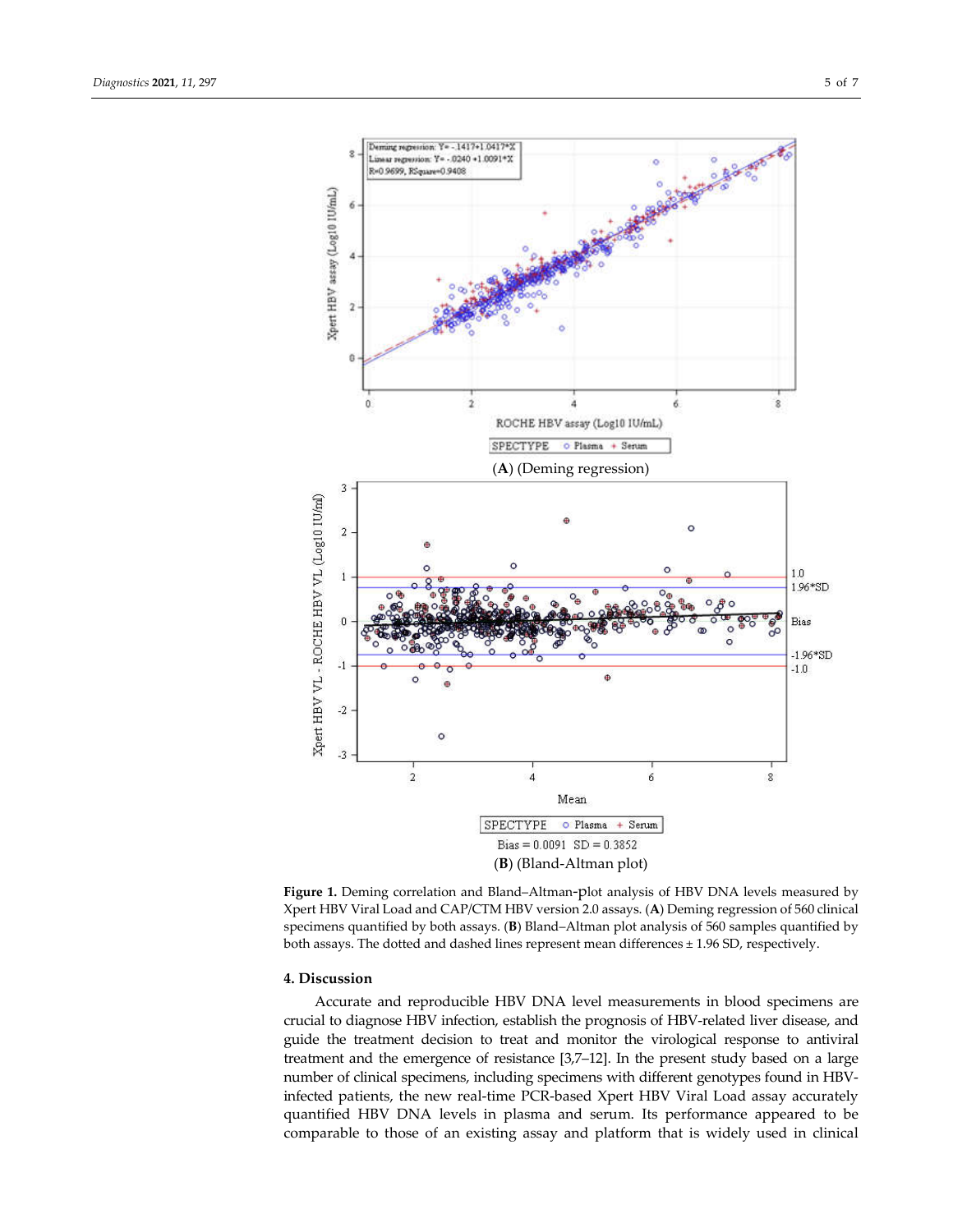

**Figure 1.** Deming correlation and Bland–Altman-plot analysis of HBV DNA levels measured by Xpert HBV Viral Load and CAP/CTM HBV version 2.0 assays. (**A**) Deming regression of 560 clinical specimens quantified by both assays. (**B**) Bland–Altman plot analysis of 560 samples quantified by both assays. The dotted and dashed lines represent mean differences ± 1.96 SD, respectively.

## **4. Discussion**

Accurate and reproducible HBV DNA level measurements in blood specimens are crucial to diagnose HBV infection, establish the prognosis of HBV-related liver disease, and guide the treatment decision to treat and monitor the virological response to antiviral treatment and the emergence of resistance [3,7–12]. In the present study based on a large number of clinical specimens, including specimens with different genotypes found in HBVinfected patients, the new real-time PCR-based Xpert HBV Viral Load assay accurately quantified HBV DNA levels in plasma and serum. Its performance appeared to be comparable to those of an existing assay and platform that is widely used in clinical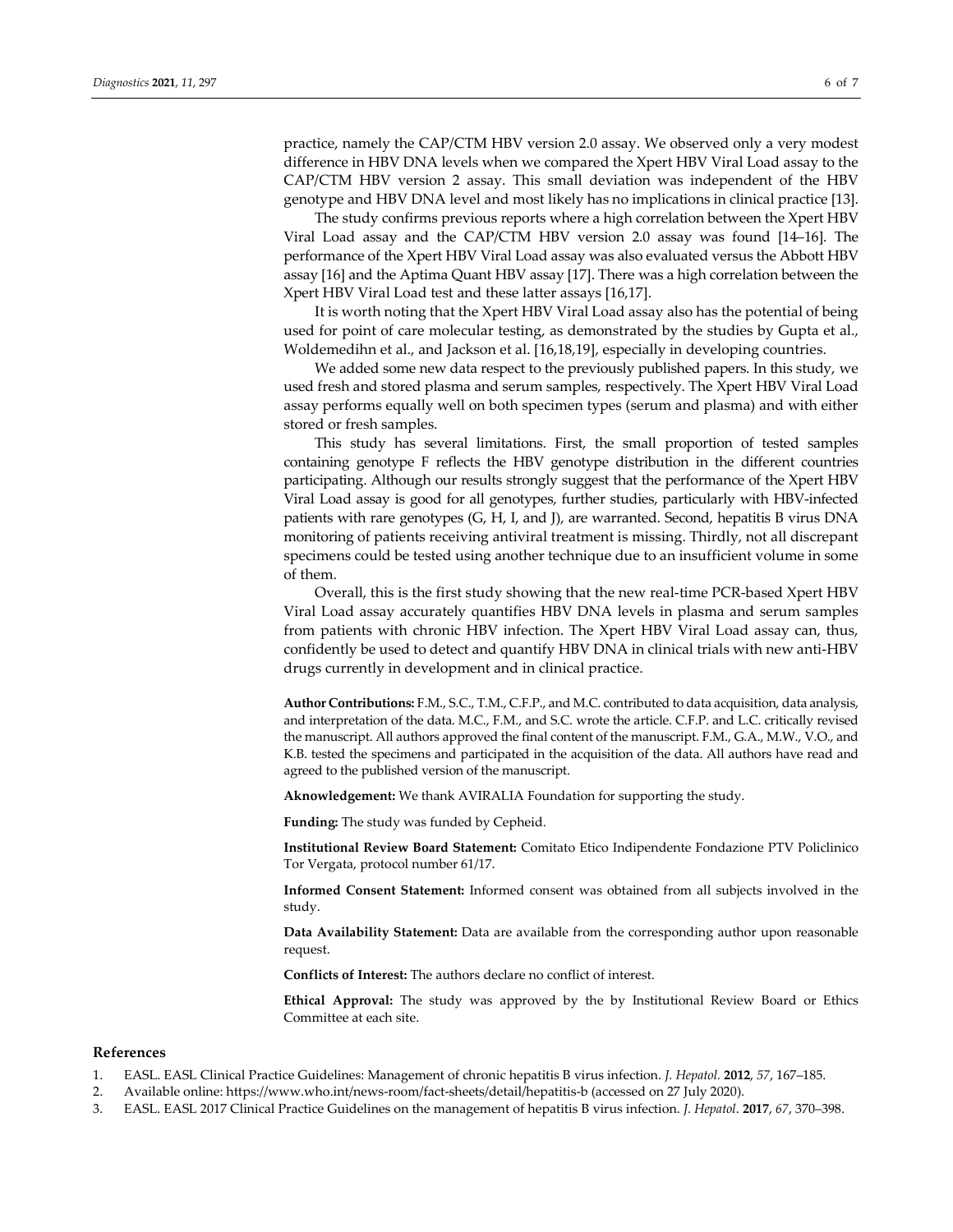practice, namely the CAP/CTM HBV version 2.0 assay. We observed only a very modest difference in HBV DNA levels when we compared the Xpert HBV Viral Load assay to the CAP/CTM HBV version 2 assay. This small deviation was independent of the HBV genotype and HBV DNA level and most likely has no implications in clinical practice [13].

The study confirms previous reports where a high correlation between the Xpert HBV Viral Load assay and the CAP/CTM HBV version 2.0 assay was found [14–16]. The performance of the Xpert HBV Viral Load assay was also evaluated versus the Abbott HBV assay [16] and the Aptima Quant HBV assay [17]. There was a high correlation between the Xpert HBV Viral Load test and these latter assays [16,17].

It is worth noting that the Xpert HBV Viral Load assay also has the potential of being used for point of care molecular testing, as demonstrated by the studies by Gupta et al., Woldemedihn et al., and Jackson et al. [16,18,19], especially in developing countries.

We added some new data respect to the previously published papers. In this study, we used fresh and stored plasma and serum samples, respectively. The Xpert HBV Viral Load assay performs equally well on both specimen types (serum and plasma) and with either stored or fresh samples.

This study has several limitations. First, the small proportion of tested samples containing genotype F reflects the HBV genotype distribution in the different countries participating. Although our results strongly suggest that the performance of the Xpert HBV Viral Load assay is good for all genotypes, further studies, particularly with HBV-infected patients with rare genotypes (G, H, I, and J), are warranted. Second, hepatitis B virus DNA monitoring of patients receiving antiviral treatment is missing. Thirdly, not all discrepant specimens could be tested using another technique due to an insufficient volume in some of them.

Overall, this is the first study showing that the new real-time PCR-based Xpert HBV Viral Load assay accurately quantifies HBV DNA levels in plasma and serum samples from patients with chronic HBV infection. The Xpert HBV Viral Load assay can, thus, confidently be used to detect and quantify HBV DNA in clinical trials with new anti-HBV drugs currently in development and in clinical practice.

**Author Contributions:** F.M., S.C., T.M., C.F.P., and M.C. contributed to data acquisition, data analysis, and interpretation of the data. M.C., F.M., and S.C. wrote the article. C.F.P. and L.C. critically revised the manuscript. All authors approved the final content of the manuscript. F.M., G.A., M.W., V.O., and K.B. tested the specimens and participated in the acquisition of the data. All authors have read and agreed to the published version of the manuscript.

**Aknowledgement:** We thank AVIRALIA Foundation for supporting the study.

**Funding:** The study was funded by Cepheid.

**Institutional Review Board Statement:** Comitato Etico Indipendente Fondazione PTV Policlinico Tor Vergata, protocol number 61/17.

**Informed Consent Statement:** Informed consent was obtained from all subjects involved in the study.

**Data Availability Statement:** Data are available from the corresponding author upon reasonable request.

**Conflicts of Interest:** The authors declare no conflict of interest.

**Ethical Approval:** The study was approved by the by Institutional Review Board or Ethics Committee at each site.

## **References**

- 1. EASL. EASL Clinical Practice Guidelines: Management of chronic hepatitis B virus infection. *J. Hepatol.* **2012**, *57*, 167–185.
- 2. Available online: https://www.who.int/news-room/fact-sheets/detail/hepatitis-b (accessed on 27 July 2020).
- 3. EASL. EASL 2017 Clinical Practice Guidelines on the management of hepatitis B virus infection. *J. Hepatol*. **2017**, *67*, 370–398.